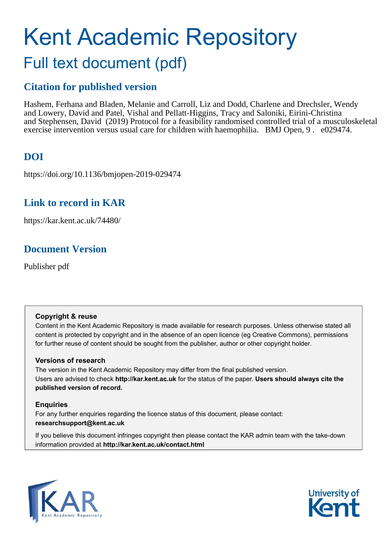# Kent Academic Repository Full text document (pdf)

## **Citation for published version**

Hashem, Ferhana and Bladen, Melanie and Carroll, Liz and Dodd, Charlene and Drechsler, Wendy and Lowery, David and Patel, Vishal and Pellatt-Higgins, Tracy and Saloniki, Eirini-Christina and Stephensen, David (2019) Protocol for a feasibility randomised controlled trial of a musculoskeletal exercise intervention versus usual care for children with haemophilia. BMJ Open, 9 . e029474.

## **DOI**

https://doi.org/10.1136/bmjopen-2019-029474

### **Link to record in KAR**

https://kar.kent.ac.uk/74480/

## **Document Version**

Publisher pdf

#### **Copyright & reuse**

Content in the Kent Academic Repository is made available for research purposes. Unless otherwise stated all content is protected by copyright and in the absence of an open licence (eg Creative Commons), permissions for further reuse of content should be sought from the publisher, author or other copyright holder.

#### **Versions of research**

The version in the Kent Academic Repository may differ from the final published version. Users are advised to check **http://kar.kent.ac.uk** for the status of the paper. **Users should always cite the published version of record.**

#### **Enquiries**

For any further enquiries regarding the licence status of this document, please contact: **researchsupport@kent.ac.uk**

If you believe this document infringes copyright then please contact the KAR admin team with the take-down information provided at **http://kar.kent.ac.uk/contact.html**



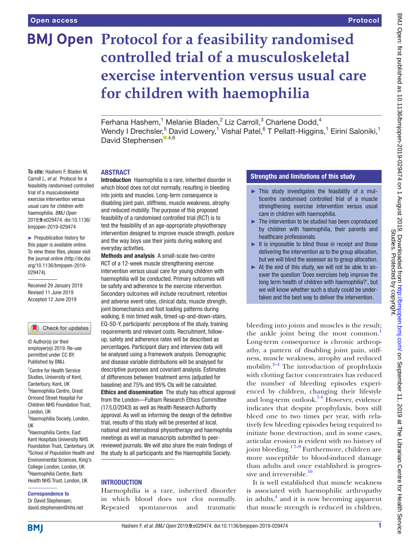**To cite:** Hashem F, Bladen M, Carroll L, *et al*. Protocol for a feasibility randomised controlled trial of a musculoskeletal exercise intervention versus usual care for children with haemophilia. *BMJ Open* 2019;9:e029474. doi:10.1136/ bmjopen-2019-029474 ► Prepublication history for this paper is available online. To view these files, please visit the journal online (http://dx.doi. org/10.1136/bmjopen-2019-

029474).

Received 29 January 2019 Revised 11 June 2019 Accepted 12 June 2019

Check for updates

<sup>1</sup> Centre for Health Service Studies, University of Kent, Canterbury, Kent, UK <sup>2</sup>Haemophilia Centre, Great Ormond Street Hospital For Children NHS Foundation Trust,

© Author(s) (or their employer(s)) 2019. Re-use permitted under CC BY. Published by BMJ.

<sup>3</sup>Haemophilia Society, London,

4 Haemophilia Centre, East Kent Hospitals University NHS Foundation Trust, Canterbury, UK 5 School of Population Health and Environmental Sciences, King's College London, London, UK 6 Haemophilia Centre, Barts Health NHS Trust, London, UK

## **BMJ Open Protocol for a feasibility randomised controlled trial of a musculoskeletal exercise intervention versus usual care for children with haemophilia**

Ferhana Hashem,<sup>1</sup> Melanie Bladen,<sup>2</sup> Liz Carroll,<sup>3</sup> Charlene Dodd,<sup>4</sup> Wendy I Drechsler,<sup>5</sup> David Lowery,<sup>1</sup> Vishal Patel,<sup>6</sup> T Pellatt-Higgins,<sup>1</sup> Eirini Saloniki,<sup>1</sup> David Stephensen<sup><sup>® 4,6</sup></sup>

#### **ABSTRACT**

Introduction Haemophilia is a rare, inherited disorder in which blood does not clot normally, resulting in bleeding into joints and muscles. Long-term consequence is disabling joint pain, stiffness, muscle weakness, atrophy and reduced mobility. The purpose of this proposed feasibility of a randomised controlled trial (RCT) is to test the feasibility of an age-appropriate physiotherapy intervention designed to improve muscle strength, posture and the way boys use their joints during walking and everyday activities.

Methods and analysis A small-scale two-centre RCT of a 12-week muscle strengthening exercise intervention versus usual care for young children with haemophilia will be conducted. Primary outcomes will be safety and adherence to the exercise intervention. Secondary outcomes will include recruitment, retention and adverse event rates, clinical data, muscle strength, joint biomechanics and foot loading patterns during walking, 6 min timed walk, timed-up-and-down-stairs, EQ-5D-Y, participants' perceptions of the study, training requirements and relevant costs. Recruitment, followup, safety and adherence rates will be described as percentages. Participant diary and interview data will be analysed using a framework analysis. Demographic and disease variable distributions will be analysed for descriptive purposes and covariant analysis. Estimates of differences between treatment arms (adjusted for baseline) and 75% and 95% CIs will be calculated. Ethics and dissemination The study has ethical approval from the London—Fulham Research Ethics Committee (17/LO/2043) as well as Health Research Authority approval. As well as informing the design of the definitive trial, results of this study will be presented at local, national and international physiotherapy and haemophilia meetings as well as manuscripts submitted to peerreviewed journals. We will also share the main findings of the study to all participants and the Haemophilia Society.

#### **INTRODUCTION**

Haemophilia is a rare, inherited disorder in which blood does not clot normally. Repeated spontaneous and traumatic

#### Strengths and limitations of this study

- $\triangleright$  This study investigates the feasibility of a multicentre randomised controlled trial of a muscle strengthening exercise intervention versus usual care in children with haemophilia.
- ► The intervention to be studied has been coproduced by children with haemophilia, their parents and healthcare professionals.
- $\blacktriangleright$  It is impossible to blind those in receipt and those delivering the intervention as to the group allocation, but we will blind the assessor as to group allocation.
- ► At the end of this study, we will not be able to answer the question 'Does exercises help improve the long term health of children with haemophilia?', but we will know whether such a study could be undertaken and the best way to deliver the intervention.

bleeding into joints and muscles is the result; the ankle joint being the most common.<sup>1</sup> Long-term consequence is chronic arthropathy, a pattern of disabling joint pain, stiffness, muscle weakness, atrophy and reduced mobility. $2-4$  The introduction of prophylaxis with clotting factor concentrates has reduced the number of bleeding episodes experienced by children, changing their lifestyle and long-term outlook.5 6 However, evidence indicates that despite prophylaxis, boys still bleed one to two times per year, with relatively few bleeding episodes being required to initiate bone destruction, and in some cases, articular erosion is evident with no history of joint bleeding.<sup>17-9</sup> Furthermore, children are more susceptible to blood-induced damage than adults and once established is progressive and irreversible.<sup>10</sup>

It is well established that muscle weakness is associated with haemophilic arthropathy in adults,<sup>4</sup> and it is now becoming apparent that muscle strength is reduced in children,

## **BMI**

Correspondence to Dr David Stephensen; david.stephensen@nhs.net

London, UK

UK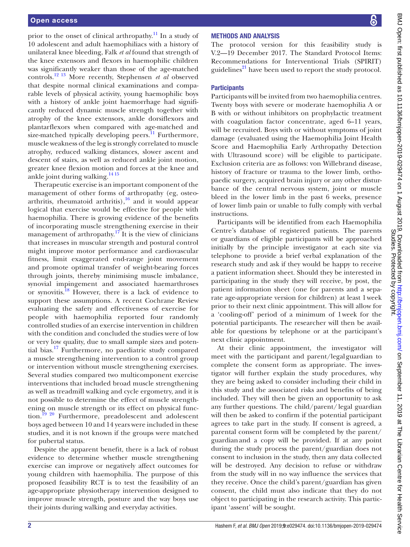prior to the onset of clinical arthropathy.<sup>11</sup> In a study of 10 adolescent and adult haemophiliacs with a history of unilateral knee bleeding, Falk *et al* found that strength of the knee extensors and flexors in haemophilic children was significantly weaker than those of the age-matched controls.12 13 More recently, Stephensen *et al* observed that despite normal clinical examinations and comparable levels of physical activity, young haemophilic boys with a history of ankle joint haemorrhage had significantly reduced dynamic muscle strength together with atrophy of the knee extensors, ankle dorsiflexors and plantarflexors when compared with age-matched and size-matched typically developing peers.<sup>11</sup> Furthermore, muscle weakness of the leg is strongly correlated to muscle atrophy, reduced walking distances, slower ascent and descent of stairs, as well as reduced ankle joint motion, greater knee flexion motion and forces at the knee and ankle joint during walking.<sup>14 15</sup>

Therapeutic exercise is an important component of the management of other forms of arthropathy (eg, osteoarthritis, rheumatoid arthritis), $16$  and it would appear logical that exercise would be effective for people with haemophilia. There is growing evidence of the benefits of incorporating muscle strengthening exercise in their management of arthropathy.<sup>17</sup> It is the view of clinicians that increases in muscular strength and postural control might improve motor performance and cardiovascular fitness, limit exaggerated end-range joint movement and promote optimal transfer of weight-bearing forces through joints, thereby minimising muscle imbalance, synovial impingement and associated haemarthroses or synovitis.18 However, there is a lack of evidence to support these assumptions. A recent Cochrane Review evaluating the safety and effectiveness of exercise for people with haemophilia reported four randomly controlled studies of an exercise intervention in children with the condition and concluded the studies were of low or very low quality, due to small sample sizes and potential bias. $17$  Furthermore, no paediatric study compared a muscle strengthening intervention to a control group or intervention without muscle strengthening exercises. Several studies compared two multicomponent exercise interventions that included broad muscle strengthening as well as treadmill walking and cycle ergometry, and it is not possible to determine the effect of muscle strengthening on muscle strength or its effect on physical function.<sup>19 20</sup> Furthermore, preadolescent and adolescent boys aged between 10 and 14 years were included in these studies, and it is not known if the groups were matched for pubertal status.

Despite the apparent benefit, there is a lack of robust evidence to determine whether muscle strengthening exercise can improve or negatively affect outcomes for young children with haemophilia. The purpose of this proposed feasibility RCT is to test the feasibility of an age-appropriate physiotherapy intervention designed to improve muscle strength, posture and the way boys use their joints during walking and everyday activities.

#### Methods and analysis

The protocol version for this feasibility study is V.2—19 December 2017. The Standard Protocol Items: Recommendations for Interventional Trials (SPIRIT) guidelines $^{21}$  have been used to report the study protocol.

#### **Participants**

Participants will be invited from two haemophilia centres. Twenty boys with severe or moderate haemophilia A or B with or without inhibitors on prophylactic treatment with coagulation factor concentrate, aged 6–11 years, will be recruited. Boys with or without symptoms of joint damage (evaluated using the Haemophilia Joint Health Score and Haemophilia Early Arthropathy Detection with Ultrasound score) will be eligible to participate. Exclusion criteria are as follows: von Willebrand disease, history of fracture or trauma to the lower limb, orthopaedic surgery, acquired brain injury or any other disturbance of the central nervous system, joint or muscle bleed in the lower limb in the past 6 weeks, presence of lower limb pain or unable to fully comply with verbal instructions.

Participants will be identified from each Haemophilia Centre's database of registered patients. The parents or guardians of eligible participants will be approached initially by the principle investigator at each site via telephone to provide a brief verbal explanation of the research study and ask if they would be happy to receive a patient information sheet. Should they be interested in participating in the study they will receive, by post, the patient information sheet (one for parents and a separate age-appropriate version for children) at least 1week prior to their next clinic appointment. This will allow for a 'cooling-off' period of a minimum of 1week for the potential participants. The researcher will then be available for questions by telephone or at the participant's next clinic appointment.

At their clinic appointment, the investigator will meet with the participant and parent/legalguardian to complete the consent form as appropriate. The investigator will further explain the study procedures, why they are being asked to consider including their child in this study and the associated risks and benefits of being included. They will then be given an opportunity to ask any further questions. The child/parent/legal guardian will then be asked to confirm if the potential participant agrees to take part in the study. If consent is agreed, a parental consent form will be completed by the parent/ guardianand a copy will be provided. If at any point during the study process the parent/guardian does not consent to inclusion in the study, then any data collected will be destroyed. Any decision to refuse or withdraw from the study will in no way influence the services that they receive. Once the child's parent/guardian has given consent, the child must also indicate that they do not object to participating in the research activity. This participant 'assent' will be sought.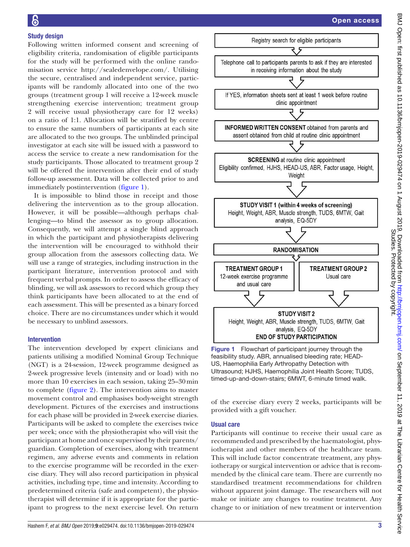#### Study design

Following written informed consent and screening of eligibility criteria, randomisation of eligible participants for the study will be performed with the online randomisation service <http://sealedenvelope.com/.> Utilising the secure, centralised and independent service, participants will be randomly allocated into one of the two groups (treatment group 1 will receive a 12-week muscle strengthening exercise intervention; treatment group 2 will receive usual physiotherapy care for 12 weeks) on a ratio of 1:1. Allocation will be stratified by centre to ensure the same numbers of participants at each site are allocated to the two groups. The unblinded principal investigator at each site will be issued with a password to access the service to create a new randomisation for the study participants. Those allocated to treatment group 2 will be offered the intervention after their end of study follow-up assessment. Data will be collected prior to and immediately postintervention (figure 1).

It is impossible to blind those in receipt and those delivering the intervention as to the group allocation. However, it will be possible—although perhaps challenging—to blind the assessor as to group allocation. Consequently, we will attempt a single blind approach in which the participant and physiotherapists delivering the intervention will be encouraged to withhold their group allocation from the assessors collecting data. We will use a range of strategies, including instruction in the participant literature, intervention protocol and with frequent verbal prompts. In order to assess the efficacy of blinding, we will ask assessors to record which group they think participants have been allocated to at the end of each assessment. This will be presented as a binary forced choice. There are no circumstances under which it would be necessary to unblind assessors.

#### Intervention

The intervention developed by expert clinicians and patients utilising a modified Nominal Group Technique (NGT) is a 24-session, 12-week programme designed as 2-week progressive levels (intensity and or load) with no more than 10 exercises in each session, taking 25–30min to complete (figure 2). The intervention aims to master movement control and emphasises body-weight strength development. Pictures of the exercises and instructions for each phase will be provided in 2-week exercise diaries. Participants will be asked to complete the exercises twice per week; once with the physiotherapist who will visit the participant at home and once supervised by their parents/ guardian. Completion of exercises, along with treatment regimen, any adverse events and comments in relation to the exercise programme will be recorded in the exercise diary. They will also record participation in physical activities, including type, time and intensity. According to predetermined criteria (safe and competent), the physiotherapist will determine if it is appropriate for the participant to progress to the next exercise level. On return



Figure 1 Flowchart of participant journey through the feasibility study. ABR, annualised bleeding rate; HEAD-US, Haemophilia Early Arthropathy Detection with Ultrasound; HJHS, Haemophilia Joint Health Score; TUDS, timed-up-and-down-stairs; 6MWT, 6-minute timed walk.

of the exercise diary every 2 weeks, participants will be provided with a gift voucher.

#### Usual care

Participants will continue to receive their usual care as recommended and prescribed by the haematologist, physiotherapist and other members of the healthcare team. This will include factor concentrate treatment, any physiotherapy or surgical intervention or advice that is recommended by the clinical care team. There are currently no standardised treatment recommendations for children without apparent joint damage. The researchers will not make or initiate any changes to routine treatment. Any change to or initiation of new treatment or intervention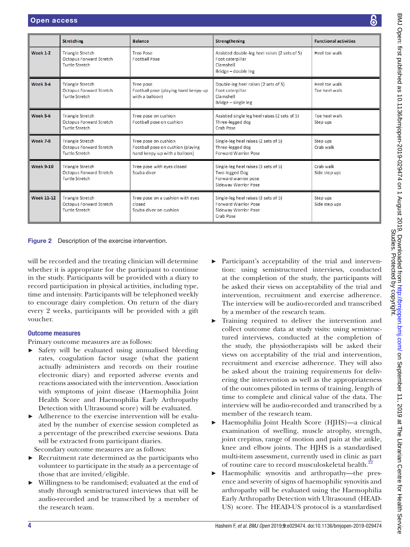|                   | <b>Stretching</b>                                             | <b>Balance</b>                                                                             | <b>Strengthening</b>                                                                                   | <b>Functional activities</b>   |
|-------------------|---------------------------------------------------------------|--------------------------------------------------------------------------------------------|--------------------------------------------------------------------------------------------------------|--------------------------------|
| <b>Week 1-2</b>   | Triangle Stretch<br>Octopus Forward Stretch<br>Turtle Stretch | Tree Pose<br>Football Pose                                                                 | Assisted double-leg heel raises (2 sets of 5)<br>Foot caterpillar<br>Clamshell<br>Bridge - double leg  | Heel toe walk                  |
| <b>Week 3-4</b>   | Triangle Stretch<br>Octopus Forward Stretch<br>Turtle Stretch | Tree pose<br>Football pose (playing hand keepy-up<br>with a balloon)                       | Double-leg heel raises (2 sets of 5)<br>Foot caterpillar<br>Clamshell<br>Bridge - single leg           | Heel toe walk<br>Toe heel walk |
| Week 5-6          | Triangle Stretch<br>Octopus Forward Stretch<br>Turtle Stretch | Tree pose on cushion<br>Football pose on cushion                                           | Assisted single leg heel raises (2 sets of 5)<br>Three-legged dog<br>Crab Pose                         | Toe heel walk<br>Step ups      |
| <b>Week 7-8</b>   | Triangle Stretch<br>Octopus Forward Stretch<br>Turtle Stretch | Tree pose on cushion<br>Football pose on cushion (playing<br>hand keepy-up with a balloon) | Single-leg heel raises (2 sets of 5)<br>Three-legged dog<br>Forward Warrior Pose                       | Step ups<br>Crab walk          |
| <b>Week 9-10</b>  | Triangle Stretch<br>Octopus Forward Stretch<br>Turtle Stretch | Tree pose with eyes closed<br>Scuba diver                                                  | Single-leg heel raises (3 sets of 5)<br>Two-legged Dog<br>Forward warrior pose<br>Sideway Warrior Pose | Crab walk<br>Side step ups     |
| <b>Week 11-12</b> | Triangle Stretch<br>Octopus Forward Stretch<br>Turtle Stretch | Tree pose on a cushion with eyes<br>closed<br>Scuba diver on cushion                       | Single-leg heel raises (3 sets of 5)<br>Forward Warrior Pose<br>Sideway Warrior Pose<br>Crab Pose      | Step ups<br>Side step ups      |

Figure 2 Description of the exercise intervention.

will be recorded and the treating clinician will determine whether it is appropriate for the participant to continue in the study. Participants will be provided with a diary to record participation in physical activities, including type, time and intensity. Participants will be telephoned weekly to encourage dairy completion. On return of the diary every 2 weeks, participants will be provided with a gift voucher.

#### Outcome measures

Primary outcome measures are as follows:

- ► Safety will be evaluated using annualised bleeding rates, coagulation factor usage (what the patient actually administers and records on their routine electronic diary) and reported adverse events and reactions associated with the intervention. Association with symptoms of joint disease (Haemophilia Joint Health Score and Haemophilia Early Arthropathy Detection with Ultrasound score) will be evaluated.
- Adherence to the exercise intervention will be evaluated by the number of exercise session completed as a percentage of the prescribed exercise sessions. Data will be extracted from participant diaries.

Secondary outcome measures are as follows:

- Recruitment rate determined as the participants who volunteer to participate in the study as a percentage of those that are invited/eligible.
- Willingness to be randomised; evaluated at the end of study through semistructured interviews that will be audio-recorded and be transcribed by a member of the research team.
- ► Participant's acceptability of the trial and intervention: using semistructured interviews, conducted at the completion of the study, the participants will be asked their views on acceptability of the trial and intervention, recruitment and exercise adherence. The interview will be audio-recorded and transcribed by a member of the research team.
- Training required to deliver the intervention and collect outcome data at study visits: using semistructured interviews, conducted at the completion of the study, the physiotherapists will be asked their views on acceptability of the trial and intervention, recruitment and exercise adherence. They will also be asked about the training requirements for delivering the intervention as well as the appropriateness of the outcomes piloted in terms of training, length of time to complete and clinical value of the data. The interview will be audio-recorded and transcribed by a member of the research team.
- ► Haemophilia Joint Health Score (HJHS)—a clinical examination of swelling, muscle atrophy, strength, joint crepitus, range of motion and pain at the ankle, knee and elbow joints. The HJHS is a standardised multi-item assessment, currently used in clinic as part of routine care to record musculoskeletal health.<sup>2</sup>
- ► Haemophilic synovitis and arthropathy—the presence and severity of signs of haemophilic synovitis and arthropathy will be evaluated using the Haemophilia Early Arthropathy Detection with Ultrasound (HEAD-US) score. The HEAD-US protocol is a standardised

Ы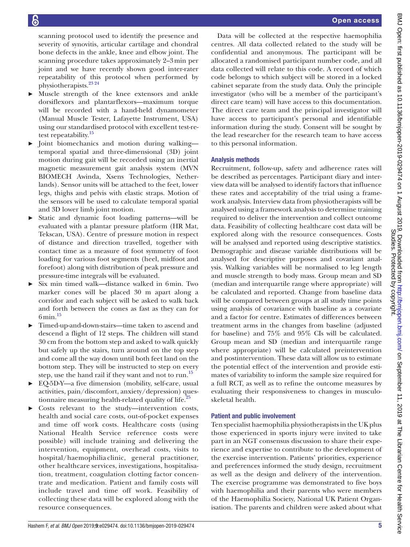physiotherapists.<sup>23</sup><sup>24</sup>

test repeatability.<sup>15</sup>

scanning protocol used to identify the presence and severity of synovitis, articular cartilage and chondral bone defects in the ankle, knee and elbow joint. The scanning procedure takes approximately 2–3min per joint and we have recently shown good inter-rater repeatability of this protocol when performed by Muscle strength of the knee extensors and ankle dorsiflexors and plantarflexors—maximum torque will be recorded with a hand-held dynamometer (Manual Muscle Tester, Lafayette Instrument, USA) using our standardised protocol with excellent test-re-► Joint biomechanics and motion during walking temporal spatial and three-dimensional (3D) joint motion during gait will be recorded using an inertial magnetic measurement gait analysis system (MVN BIOMECH Awinda, Xsens Technologies, Netherto this personal information. Analysis methods

- lands). Sensor units will be attached to the feet, lower legs, thighs and pelvis with elastic straps. Motion of the sensors will be used to calculate temporal spatial and 3D lower limb joint motion. Static and dynamic foot loading patterns—will be evaluated with a plantar pressure platform (HR Mat,
- Tekscan, USA). Centre of pressure motion in respect of distance and direction travelled, together with contact time as a measure of foot symmetry of foot loading for various foot segments (heel, midfoot and forefoot) along with distribution of peak pressure and pressure-time integrals will be evaluated.
- Six min timed walk—distance walked in 6min. Two marker cones will be placed 30 m apart along a corridor and each subject will be asked to walk back and forth between the cones as fast as they can for 6min.15
- Timed-up-and-down-stairs—time taken to ascend and descend a flight of 12 steps. The children will stand 30 cm from the bottom step and asked to walk quickly but safely up the stairs, turn around on the top step and come all the way down until both feet land on the bottom step. They will be instructed to step on every step, use the hand rail if they want and not to run.<sup>15</sup>
- ► EQ-5D-Y—a five dimension (mobility, self-care, usual activities, pain/discomfort, anxiety/depression) questionnaire measuring health-related quality of life.<sup>25</sup>
- ► Costs relevant to the study—intervention costs, health and social care costs, out-of-pocket expenses and time off work costs. Healthcare costs (using National Health Service reference costs were possible) will include training and delivering the intervention, equipment, overhead costs, visits to hospital/haemophilia clinic, general practitioner, other healthcare services, investigations, hospitalisation, treatment, coagulation clotting factor concentrate and medication. Patient and family costs will include travel and time off work. Feasibility of collecting these data will be explored along with the resource consequences.

Data will be collected at the respective haemophilia centres. All data collected related to the study will be confidential and anonymous. The participant will be allocated a randomised participant number code, and all data collected will relate to this code. A record of which code belongs to which subject will be stored in a locked cabinet separate from the study data. Only the principle investigator (who will be a member of the participant's direct care team) will have access to this documentation. The direct care team and the principal investigator will have access to participant's personal and identifiable information during the study. Consent will be sought by the lead researcher for the research team to have access

Recruitment, follow-up, safety and adherence rates will be described as percentages. Participant diary and interview data will be analysed to identify factors that influence these rates and acceptability of the trial using a framework analysis. Interview data from physiotherapists will be analysed using a framework analysis to determine training required to deliver the intervention and collect outcome data. Feasibility of collecting healthcare cost data will be explored along with the resource consequences. Costs will be analysed and reported using descriptive statistics. Demographic and disease variable distributions will be analysed for descriptive purposes and covariant analysis. Walking variables will be normalised to leg length and muscle strength to body mass. Group mean and SD (median and interquartile range where appropriate) will be calculated and reported. Change from baseline data will be compared between groups at all study time points using analysis of covariance with baseline as a covariate and a factor for centre. Estimates of differences between treatment arms in the changes from baseline (adjusted for baseline) and 75% and 95% CIs will be calculated. Group mean and SD (median and interquartile range where appropriate) will be calculated preintervention and postintervention. These data will allow us to estimate the potential effect of the intervention and provide estimates of variability to inform the sample size required for a full RCT, as well as to refine the outcome measures by evaluating their responsiveness to changes in musculoskeletal health.

#### Patient and public involvement

Ten specialist haemophilia physiotherapists in the UK plus those experienced in sports injury were invited to take part in an NGT consensus discussion to share their experience and expertise to contribute to the development of the exercise intervention. Patients' priorities, experience and preferences informed the study design, recruitment as well as the design and delivery of the intervention. The exercise programme was demonstrated to five boys with haemophilia and their parents who were members of the Haemophilia Society, National UK Patient Organisation. The parents and children were asked about what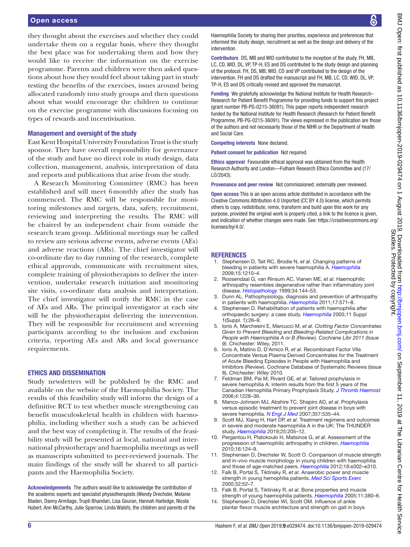they thought about the exercises and whether they could undertake them on a regular basis, where they thought the best place was for undertaking them and how they would like to receive the information on the exercise programme. Parents and children were then asked questions about how they would feel about taking part in study testing the benefits of the exercises, issues around being allocated randomly into study groups and then questions about what would encourage the children to continue on the exercise programme with discussions focusing on types of rewards and incentivisation.

#### Management and oversight of the study

East Kent Hospital University Foundation Trust is the study sponsor. They have overall responsibility for governance of the study and have no direct role in study design, data collection, management, analysis, interpretation of data and reports and publications that arise from the study.

A Research Monitoring Committee (RMC) has been established and will meet 6monthly after the study has commenced. The RMC will be responsible for monitoring milestones and targets, data, safety, recruitment, reviewing and interpreting the results. The RMC will be chaired by an independent chair from outside the research team group. Additional meetings may be called to review any serious adverse events, adverse events (AEs) and adverse reactions (ARs). The chief investigator will co-ordinate day to day running of the research, complete ethical approvals, communicate with recruitment sites, complete training of physiotherapists to deliver the intervention, undertake research initiation and monitoring site visits, co-ordinate data analysis and interpretation. The chief investigator will notify the RMC in the case of AEs and ARs. The principal investigator at each site will be the physiotherapist delivering the intervention. They will be responsible for recruitment and screening participants according to the inclusion and exclusion criteria, reporting AEs and ARs and local governance requirements.

#### Ethics and dissemination

Study newsletters will be published by the RMC and available on the website of the Haemophilia Society. The results of this feasibility study will inform the design of a definitive RCT to test whether muscle strengthening can benefit musculoskeletal health in children with haemophilia, including whether such a study can be achieved and the best way of completing it. The results of the feasibility study will be presented at local, national and international physiotherapy and haemophilia meetings as well as manuscripts submitted to peer-reviewed journals. The main findings of the study will be shared to all participants and the Haemophilia Society.

Acknowledgements The authors would like to acknowledge the contribution of the academic experts and specialist physiotherapists (Wendy Drechsler, Melanie Bladen, Danny Armitage, Trupti Bhandari, Lisa Geuran, Hannah Harbidge, Nicola Hubert, Ann McCarthy, Julie Sparrow, Linda Walsh), the children and parents of the Haemophilia Society for sharing their priorities, experience and preferences that informed the study design, recruitment as well as the design and delivery of the intervention.

Contributors DS, MB and WID contributed to the inception of the study. FH, MB, LC, CD, WID, DL, VP, TP-H, ES and DS contributed to the study design and planning of the protocol. FH, DS, MB, WID, CD and VP contributed to the design of the intervention. FH and DS drafted the manuscript and FH, MB, LC, CD, WID, DL, VP, TP-H, ES and DS critically revised and approved the manuscript.

Funding We gratefully acknowledge the National Institute for Health Research– Research for Patient Benefit Programme for providing funds to support this project (grant number PB-PG-0215-36091). This paper reports independent research funded by the National Institute for Health Research (Research for Patient Benefit Programme, PB-PG-0215-36091). The views expressed in the publication are those of the authors and not necessarily those of the NIHR or the Department of Health and Social Care.

Competing interests None declared.

Patient consent for publication Not required.

Ethics approval Favourable ethical approval was obtained from the Health Research Authority and London—Fulham Research Ethics Committee and (17/ LO/2043).

Provenance and peer review Not commissioned; externally peer reviewed.

Open access This is an open access article distributed in accordance with the Creative Commons Attribution 4.0 Unported (CC BY 4.0) license, which permits others to copy, redistribute, remix, transform and build upon this work for any purpose, provided the original work is properly cited, a link to the licence is given, and indication of whether changes were made. See: [https://creativecommons.org/](https://creativecommons.org/licenses/by/4.0/) [licenses/by/4.0/](https://creativecommons.org/licenses/by/4.0/).

#### **REFERENCES**

- 1. Stephensen D, Tait RC, Brodie N, *et al*. Changing patterns of bleeding in patients with severe haemophilia A. *[Haemophilia](http://dx.doi.org/10.1111/j.1365-2516.2008.01876.x)* 2009;15:1210–4.
- 2. Roosendaal G, van Rinsum AC, Vianen ME, *et al*. Haemophilic arthropathy resembles degenerative rather than inflammatory joint disease. *[Histopathology](http://dx.doi.org/10.1046/j.1365-2559.1999.00608.x)* 1999;34:144–53.
- 3. Dunn AL. Pathophysiology, diagnosis and prevention of arthropathy in patients with haemophilia. *[Haemophilia](http://dx.doi.org/10.1111/j.1365-2516.2010.02472.x)* 2011;17:571–8.
- 4. Stephensen D. Rehabilitation of patients with haemophilia after orthopaedic surgery: a case study. *[Haemophilia](http://dx.doi.org/10.1111/j.1365-2516.2005.01151.x)* 2005;11 Suppl 1(Suppl. 1):26–9.
- 5. Iorio A, Marchesini E, Marcucci M, *et al*. *Clotting Factor Concentrates Given to Prevent Bleeding and Bleeding-Related Complications in People with Haemophilia A or B (Review). Cochrane Libr 2011 (Issue 9)*. Chichester: Wiley, 2011.
- 6. Iorio A, Matino D, D'Amico R, *et al*. Recombinant Factor VIIa Concentrate Versus Plasma Derived Concentrates for the Treatment of Acute Bleeding Episodes in People with Haemophilia and Inhibitors (Review). Cochrane Database of Systematic Reviews (issue 8). *Chichester: Wiley* 2010.
- 7. Feldman BM, Pai M, Rivard GE, *et al*. Tailored prophylaxis in severe hemophilia A: interim results from the first 5 years of the Canadian Hemophilia Primary Prophylaxis Study. *[J Thromb Haemost](http://dx.doi.org/10.1111/j.1538-7836.2006.01953.x)* 2006;4:1228–36.
- 8. Manco-Johnson MJ, Abshire TC, Shapiro AD, *et al*. Prophylaxis versus episodic treatment to prevent joint disease in boys with severe hemophilia. *[N Engl J Med](http://dx.doi.org/10.1056/NEJMoa067659)* 2007;357:535–44.
- 9. Scott MJ, Xiang H, Hart DP, *et al*. Treatment regimens and outcomes in severe and moderate haemophilia A in the UK: The THUNDER study. *[Haemophilia](http://dx.doi.org/10.1111/hae.13616)* 2019;25:205–12.
- 10. Pergantou H, Platokouki H, Matsinos G, *et al*. Assessment of the progression of haemophilic arthropathy in children. *[Haemophilia](http://dx.doi.org/10.1111/j.1365-2516.2009.02109.x)* 2010;16:124–9.
- 11. Stephensen D, Drechsler W, Scott O. Comparison of muscle strength and in-vivo muscle morphology in young children with haemophilia and those of age-matched peers. *[Haemophilia](http://dx.doi.org/10.1111/j.1365-2516.2011.02705.x)* 2012;18:e302–e310.
- 12. Falk B, Portal S, Tiktinsky R, *et al*. Anaerobic power and muscle strength in young hemophilia patients. *[Med Sci Sports Exerc](http://dx.doi.org/10.1097/00005768-200001000-00009)* 2000;32:52–7.
- 13. Falk B, Portal S, Tiktinsky R, *et al*. Bone properties and muscle strength of young haemophilia patients. *[Haemophilia](http://dx.doi.org/10.1111/j.1365-2516.2005.01116.x)* 2005;11:380–6.
- 14. Stephensen D, Drechsler WI, Scott OM. Influence of ankle plantar flexor muscle architecture and strength on gait in boys